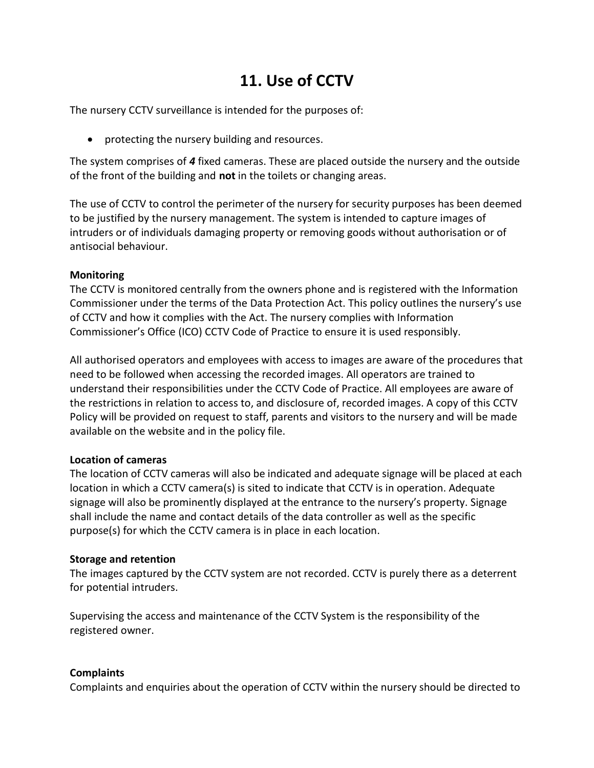# **11. Use of CCTV**

The nursery CCTV surveillance is intended for the purposes of:

• protecting the nursery building and resources.

The system comprises of *4* fixed cameras. These are placed outside the nursery and the outside of the front of the building and **not** in the toilets or changing areas.

The use of CCTV to control the perimeter of the nursery for security purposes has been deemed to be justified by the nursery management. The system is intended to capture images of intruders or of individuals damaging property or removing goods without authorisation or of antisocial behaviour.

## **Monitoring**

The CCTV is monitored centrally from the owners phone and is registered with the Information Commissioner under the terms of the Data Protection Act. This policy outlines the nursery's use of CCTV and how it complies with the Act. The nursery complies with Information Commissioner's Office (ICO) CCTV Code of Practice to ensure it is used responsibly.

All authorised operators and employees with access to images are aware of the procedures that need to be followed when accessing the recorded images. All operators are trained to understand their responsibilities under the CCTV Code of Practice. All employees are aware of the restrictions in relation to access to, and disclosure of, recorded images. A copy of this CCTV Policy will be provided on request to staff, parents and visitors to the nursery and will be made available on the website and in the policy file.

## **Location of cameras**

The location of CCTV cameras will also be indicated and adequate signage will be placed at each location in which a CCTV camera(s) is sited to indicate that CCTV is in operation. Adequate signage will also be prominently displayed at the entrance to the nursery's property. Signage shall include the name and contact details of the data controller as well as the specific purpose(s) for which the CCTV camera is in place in each location.

## **Storage and retention**

The images captured by the CCTV system are not recorded. CCTV is purely there as a deterrent for potential intruders.

Supervising the access and maintenance of the CCTV System is the responsibility of the registered owner.

## **Complaints**

Complaints and enquiries about the operation of CCTV within the nursery should be directed to